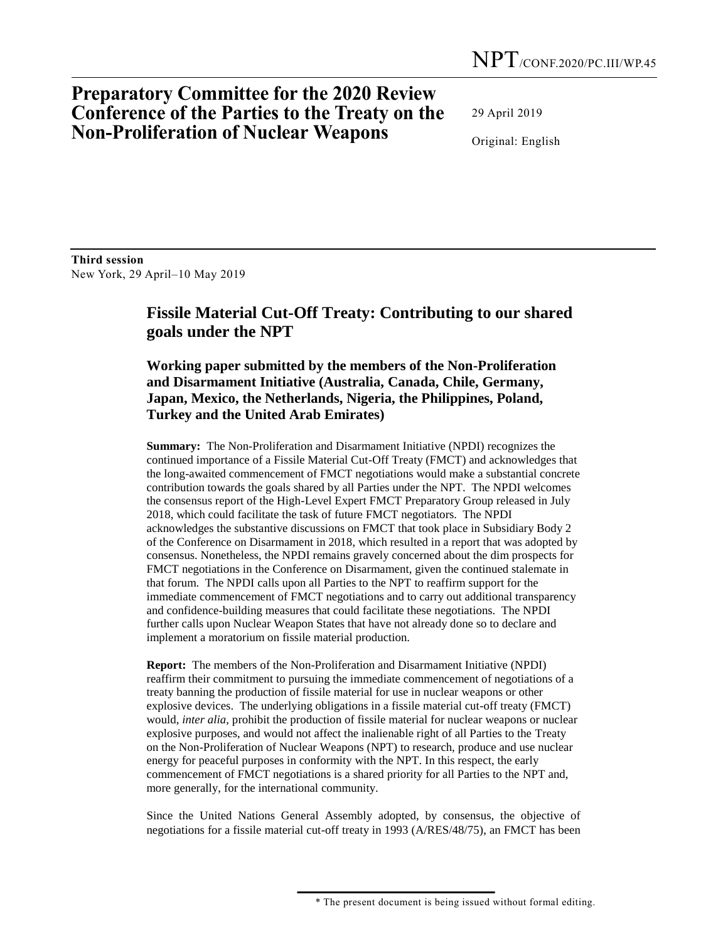## **Preparatory Committee for the 2020 Review Conference of the Parties to the Treaty on the Non-Proliferation of Nuclear Weapons**

29 April 2019

Original: English

**Third session**  New York, 29 April–10 May 2019

## **Fissile Material Cut-Off Treaty: Contributing to our shared goals under the NPT**

**Working paper submitted by the members of the Non-Proliferation and Disarmament Initiative (Australia, Canada, Chile, Germany, Japan, Mexico, the Netherlands, Nigeria, the Philippines, Poland, Turkey and the United Arab Emirates)**

**Summary:** The Non-Proliferation and Disarmament Initiative (NPDI) recognizes the continued importance of a Fissile Material Cut-Off Treaty (FMCT) and acknowledges that the long-awaited commencement of FMCT negotiations would make a substantial concrete contribution towards the goals shared by all Parties under the NPT. The NPDI welcomes the consensus report of the High-Level Expert FMCT Preparatory Group released in July 2018, which could facilitate the task of future FMCT negotiators. The NPDI acknowledges the substantive discussions on FMCT that took place in Subsidiary Body 2 of the Conference on Disarmament in 2018, which resulted in a report that was adopted by consensus. Nonetheless, the NPDI remains gravely concerned about the dim prospects for FMCT negotiations in the Conference on Disarmament, given the continued stalemate in that forum. The NPDI calls upon all Parties to the NPT to reaffirm support for the immediate commencement of FMCT negotiations and to carry out additional transparency and confidence-building measures that could facilitate these negotiations. The NPDI further calls upon Nuclear Weapon States that have not already done so to declare and implement a moratorium on fissile material production.

**Report:** The members of the Non-Proliferation and Disarmament Initiative (NPDI) reaffirm their commitment to pursuing the immediate commencement of negotiations of a treaty banning the production of fissile material for use in nuclear weapons or other explosive devices. The underlying obligations in a fissile material cut-off treaty (FMCT) would, *inter alia*, prohibit the production of fissile material for nuclear weapons or nuclear explosive purposes, and would not affect the inalienable right of all Parties to the Treaty on the Non-Proliferation of Nuclear Weapons (NPT) to research, produce and use nuclear energy for peaceful purposes in conformity with the NPT. In this respect, the early commencement of FMCT negotiations is a shared priority for all Parties to the NPT and, more generally, for the international community.

Since the United Nations General Assembly adopted, by consensus, the objective of negotiations for a fissile material cut-off treaty in 1993 (A/RES/48/75), an FMCT has been

 <sup>\*</sup> The present document is being issued without formal editing.